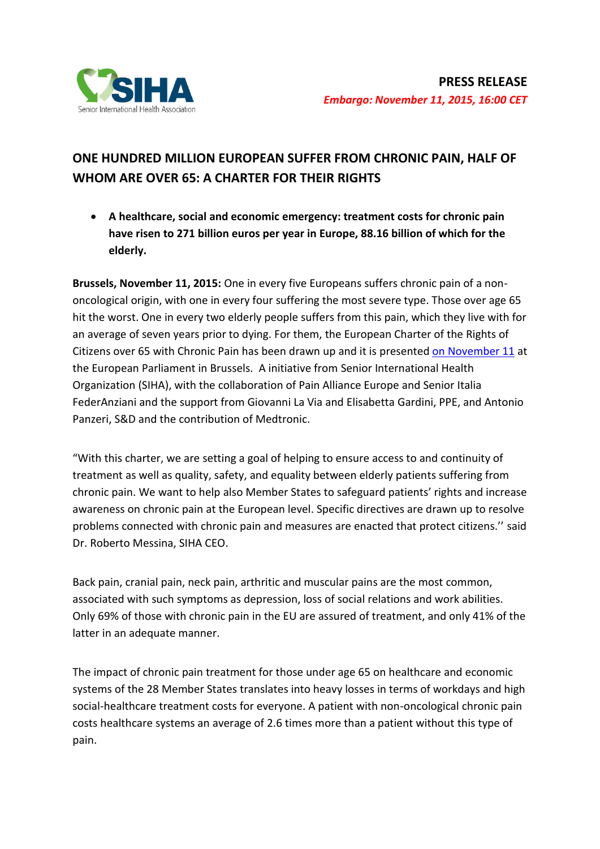

## **ONE HUNDRED MILLION EUROPEAN SUFFER FROM CHRONIC PAIN, HALF OF WHOM ARE OVER 65: A CHARTER FOR THEIR RIGHTS**

 **A healthcare, social and economic emergency: treatment costs for chronic pain have risen to 271 billion euros per year in Europe, 88.16 billion of which for the elderly.**

**Brussels, November 11, 2015:** One in every five Europeans suffers chronic pain of a nononcological origin, with one in every four suffering the most severe type. Those over age 65 hit the worst. One in every two elderly people suffers from this pain, which they live with for an average of seven years prior to dying. For them, the European Charter of the Rights of Citizens over 65 with Chronic Pain has been drawn up and it is presented [on November 11](http://airmail.calendar/2015-11-11%2012:00:00%20CET) at the European Parliament in Brussels. A initiative from Senior International Health Organization (SIHA), with the collaboration of Pain Alliance Europe and Senior Italia FederAnziani and the support from Giovanni La Via and Elisabetta Gardini, PPE, and Antonio Panzeri, S&D and the contribution of Medtronic.

"With this charter, we are setting a goal of helping to ensure access to and continuity of treatment as well as quality, safety, and equality between elderly patients suffering from chronic pain. We want to help also Member States to safeguard patients' rights and increase awareness on chronic pain at the European level. Specific directives are drawn up to resolve problems connected with chronic pain and measures are enacted that protect citizens.'' said Dr. Roberto Messina, SIHA CEO.

Back pain, cranial pain, neck pain, arthritic and muscular pains are the most common, associated with such symptoms as depression, loss of social relations and work abilities. Only 69% of those with chronic pain in the EU are assured of treatment, and only 41% of the latter in an adequate manner.

The impact of chronic pain treatment for those under age 65 on healthcare and economic systems of the 28 Member States translates into heavy losses in terms of workdays and high social-healthcare treatment costs for everyone. A patient with non-oncological chronic pain costs healthcare systems an average of 2.6 times more than a patient without this type of pain.